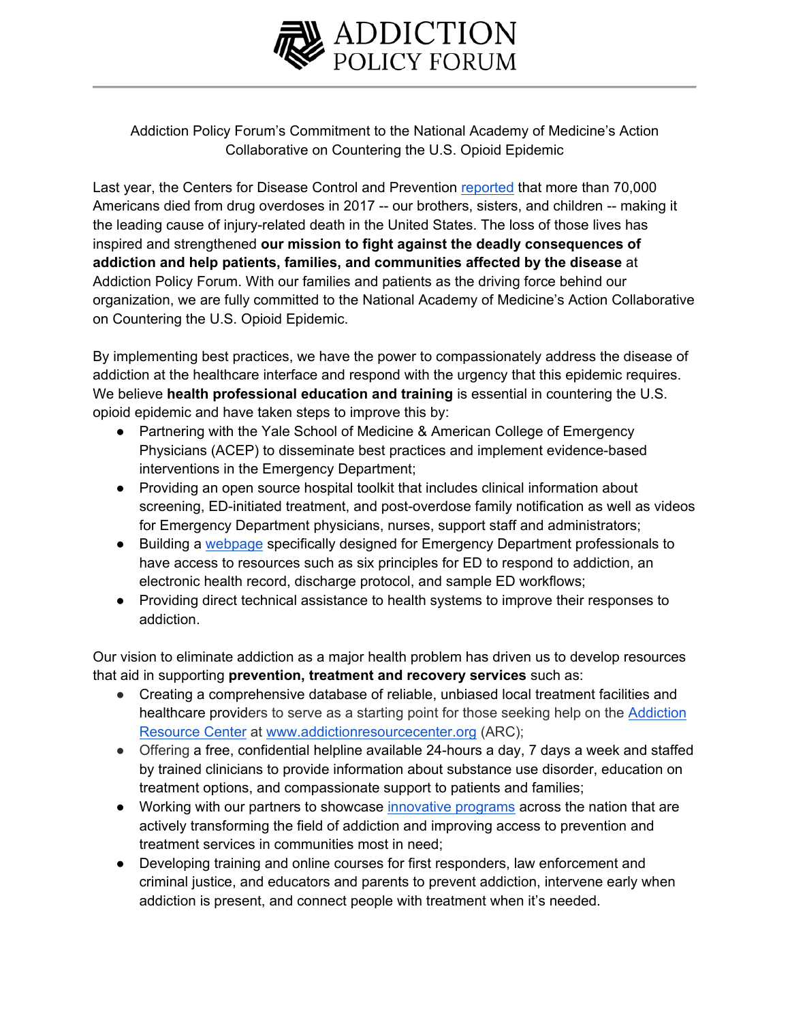

Addiction Policy Forum's Commitment to the National Academy of Medicine's Action Collaborative on Countering the U.S. Opioid Epidemic

Last year, the Centers for Disease Control and Prevention reported that more than 70,000 Americans died from drug overdoses in 2017 -- our brothers, sisters, and children -- making it the leading cause of injury-related death in the United States. The loss of those lives has inspired and strengthened **our mission to fight against the deadly consequences of addiction and help patients, families, and communities affected by the disease** at Addiction Policy Forum. With our families and patients as the driving force behind our organization, we are fully committed to the National Academy of Medicine's Action Collaborative on Countering the U.S. Opioid Epidemic.

By implementing best practices, we have the power to compassionately address the disease of addiction at the healthcare interface and respond with the urgency that this epidemic requires. We believe **health professional education and training** is essential in countering the U.S. opioid epidemic and have taken steps to improve this by:

- Partnering with the Yale School of Medicine & American College of Emergency Physicians (ACEP) to disseminate best practices and implement evidence-based interventions in the Emergency Department;
- Providing an open source hospital toolkit that includes clinical information about screening, ED-initiated treatment, and post-overdose family notification as well as videos for Emergency Department physicians, nurses, support staff and administrators;
- Building a webpage specifically designed for Emergency Department professionals to have access to resources such as six principles for ED to respond to addiction, an electronic health record, discharge protocol, and sample ED workflows;
- Providing direct technical assistance to health systems to improve their responses to addiction.

Our vision to eliminate addiction as a major health problem has driven us to develop resources that aid in supporting **prevention, treatment and recovery services** such as:

- Creating a comprehensive database of reliable, unbiased local treatment facilities and healthcare providers to serve as a starting point for those seeking help on the Addiction Resource Center at www.addictionresourcecenter.org (ARC);
- Offering a free, confidential helpline available 24-hours a day, 7 days a week and staffed by trained clinicians to provide information about substance use disorder, education on treatment options, and compassionate support to patients and families;
- Working with our partners to showcase innovative programs across the nation that are actively transforming the field of addiction and improving access to prevention and treatment services in communities most in need;
- Developing training and online courses for first responders, law enforcement and criminal justice, and educators and parents to prevent addiction, intervene early when addiction is present, and connect people with treatment when it's needed.